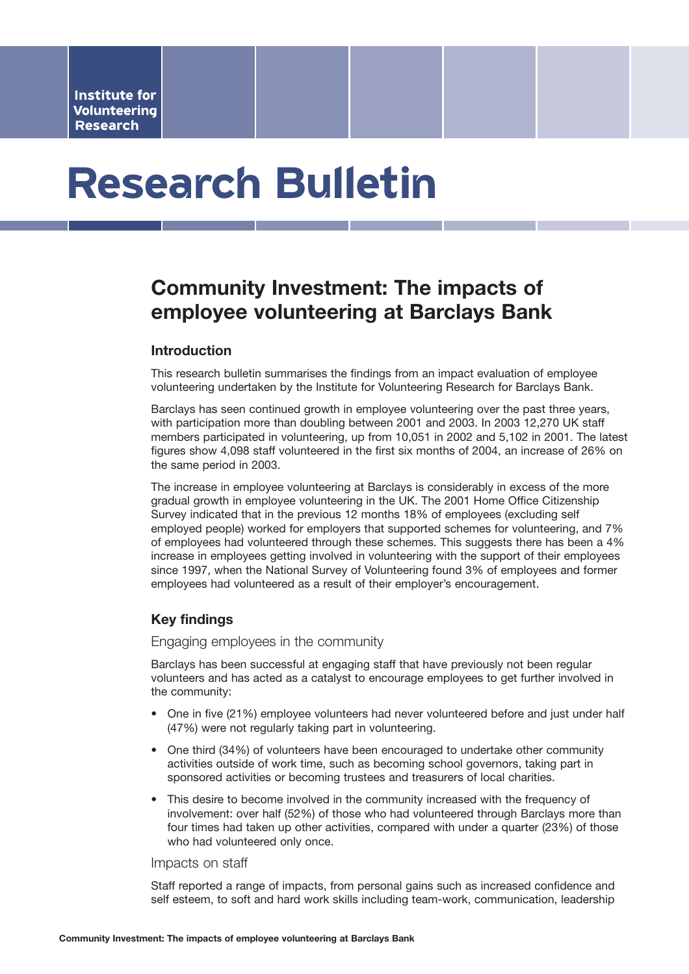# **Research Bulletin**

# **Community Investment: The impacts of employee volunteering at Barclays Bank**

# **Introduction**

This research bulletin summarises the findings from an impact evaluation of employee volunteering undertaken by the Institute for Volunteering Research for Barclays Bank.

Barclays has seen continued growth in employee volunteering over the past three years, with participation more than doubling between 2001 and 2003. In 2003 12,270 UK staff members participated in volunteering, up from 10,051 in 2002 and 5,102 in 2001. The latest figures show 4,098 staff volunteered in the first six months of 2004, an increase of 26% on the same period in 2003.

The increase in employee volunteering at Barclays is considerably in excess of the more gradual growth in employee volunteering in the UK. The 2001 Home Office Citizenship Survey indicated that in the previous 12 months 18% of employees (excluding self employed people) worked for employers that supported schemes for volunteering, and 7% of employees had volunteered through these schemes. This suggests there has been a 4% increase in employees getting involved in volunteering with the support of their employees since 1997, when the National Survey of Volunteering found 3% of employees and former employees had volunteered as a result of their employer's encouragement.

# **Key findings**

Engaging employees in the community

Barclays has been successful at engaging staff that have previously not been regular volunteers and has acted as a catalyst to encourage employees to get further involved in the community:

- One in five (21%) employee volunteers had never volunteered before and just under half (47%) were not regularly taking part in volunteering.
- One third (34%) of volunteers have been encouraged to undertake other community activities outside of work time, such as becoming school governors, taking part in sponsored activities or becoming trustees and treasurers of local charities.
- This desire to become involved in the community increased with the frequency of involvement: over half (52%) of those who had volunteered through Barclays more than four times had taken up other activities, compared with under a quarter (23%) of those who had volunteered only once.

#### Impacts on staff

Staff reported a range of impacts, from personal gains such as increased confidence and self esteem, to soft and hard work skills including team-work, communication, leadership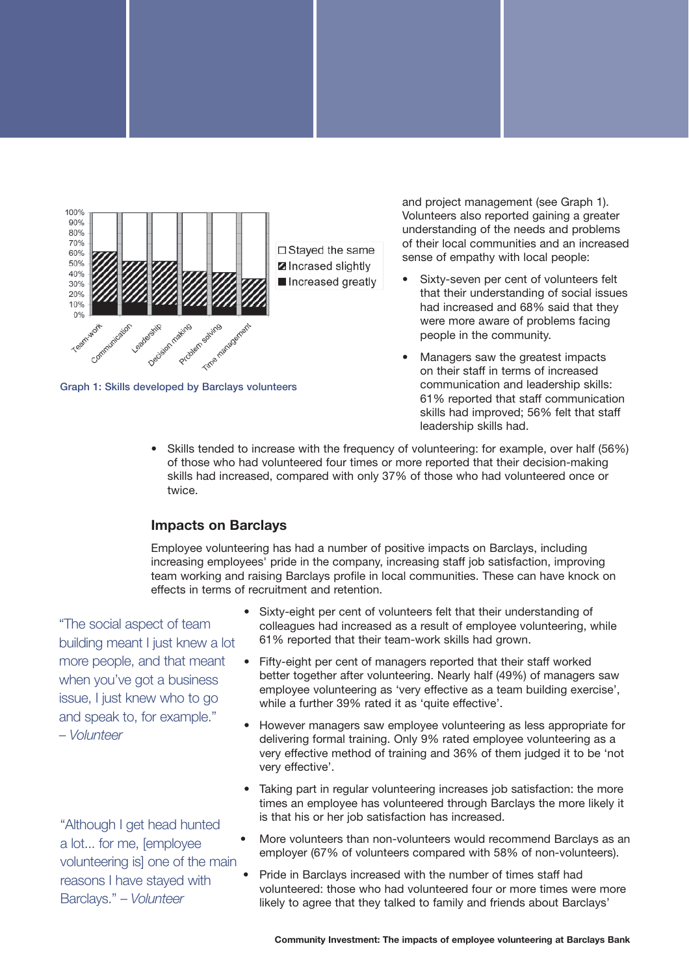

**Graph 1: Skills developed by Barclays volunteers**

and project management (see Graph 1). Volunteers also reported gaining a greater understanding of the needs and problems of their local communities and an increased sense of empathy with local people:

- Sixty-seven per cent of volunteers felt that their understanding of social issues had increased and 68% said that they were more aware of problems facing people in the community.
- Managers saw the greatest impacts on their staff in terms of increased communication and leadership skills: 61% reported that staff communication skills had improved; 56% felt that staff leadership skills had.
- Skills tended to increase with the frequency of volunteering: for example, over half (56%) of those who had volunteered four times or more reported that their decision-making skills had increased, compared with only 37% of those who had volunteered once or twice.

# **Impacts on Barclays**

Employee volunteering has had a number of positive impacts on Barclays, including increasing employees' pride in the company, increasing staff job satisfaction, improving team working and raising Barclays profile in local communities. These can have knock on effects in terms of recruitment and retention.

"The social aspect of team building meant I just knew a lot more people, and that meant when you've got a business issue, I just knew who to go and speak to, for example." – *Volunteer* 

"Although I get head hunted a lot... for me, [employee volunteering is] one of the main reasons I have stayed with Barclays." – *Volunteer*

- Sixty-eight per cent of volunteers felt that their understanding of colleagues had increased as a result of employee volunteering, while 61% reported that their team-work skills had grown.
- Fifty-eight per cent of managers reported that their staff worked better together after volunteering. Nearly half (49%) of managers saw employee volunteering as 'very effective as a team building exercise', while a further 39% rated it as 'quite effective'.
- However managers saw employee volunteering as less appropriate for delivering formal training. Only 9% rated employee volunteering as a very effective method of training and 36% of them judged it to be 'not very effective'.
- Taking part in regular volunteering increases job satisfaction: the more times an employee has volunteered through Barclays the more likely it is that his or her job satisfaction has increased.
- More volunteers than non-volunteers would recommend Barclays as an employer (67% of volunteers compared with 58% of non-volunteers).
- Pride in Barclays increased with the number of times staff had volunteered: those who had volunteered four or more times were more likely to agree that they talked to family and friends about Barclays'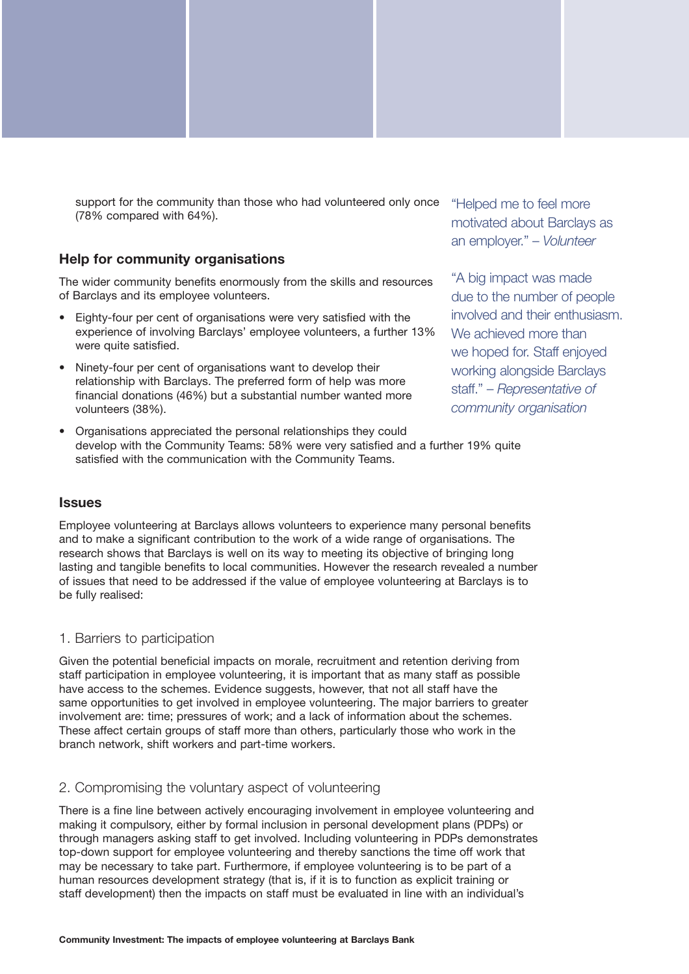support for the community than those who had volunteered only once (78% compared with 64%).

# **Help for community organisations**

The wider community benefits enormously from the skills and resources of Barclays and its employee volunteers.

- Eighty-four per cent of organisations were very satisfied with the experience of involving Barclays' employee volunteers, a further 13% were quite satisfied.
- Ninety-four per cent of organisations want to develop their relationship with Barclays. The preferred form of help was more financial donations (46%) but a substantial number wanted more volunteers (38%).
- Organisations appreciated the personal relationships they could develop with the Community Teams: 58% were very satisfied and a further 19% quite satisfied with the communication with the Community Teams.

"Helped me to feel more motivated about Barclays as an employer." – *Volunteer*

"A big impact was made due to the number of people involved and their enthusiasm. We achieved more than we hoped for. Staff enjoyed working alongside Barclays staff." – *Representative of community organisation*

# **Issues**

Employee volunteering at Barclays allows volunteers to experience many personal benefits and to make a significant contribution to the work of a wide range of organisations. The research shows that Barclays is well on its way to meeting its objective of bringing long lasting and tangible benefits to local communities. However the research revealed a number of issues that need to be addressed if the value of employee volunteering at Barclays is to be fully realised:

### 1. Barriers to participation

Given the potential beneficial impacts on morale, recruitment and retention deriving from staff participation in employee volunteering, it is important that as many staff as possible have access to the schemes. Evidence suggests, however, that not all staff have the same opportunities to get involved in employee volunteering. The major barriers to greater involvement are: time; pressures of work; and a lack of information about the schemes. These affect certain groups of staff more than others, particularly those who work in the branch network, shift workers and part-time workers.

### 2. Compromising the voluntary aspect of volunteering

There is a fine line between actively encouraging involvement in employee volunteering and making it compulsory, either by formal inclusion in personal development plans (PDPs) or through managers asking staff to get involved. Including volunteering in PDPs demonstrates top-down support for employee volunteering and thereby sanctions the time off work that may be necessary to take part. Furthermore, if employee volunteering is to be part of a human resources development strategy (that is, if it is to function as explicit training or staff development) then the impacts on staff must be evaluated in line with an individual's